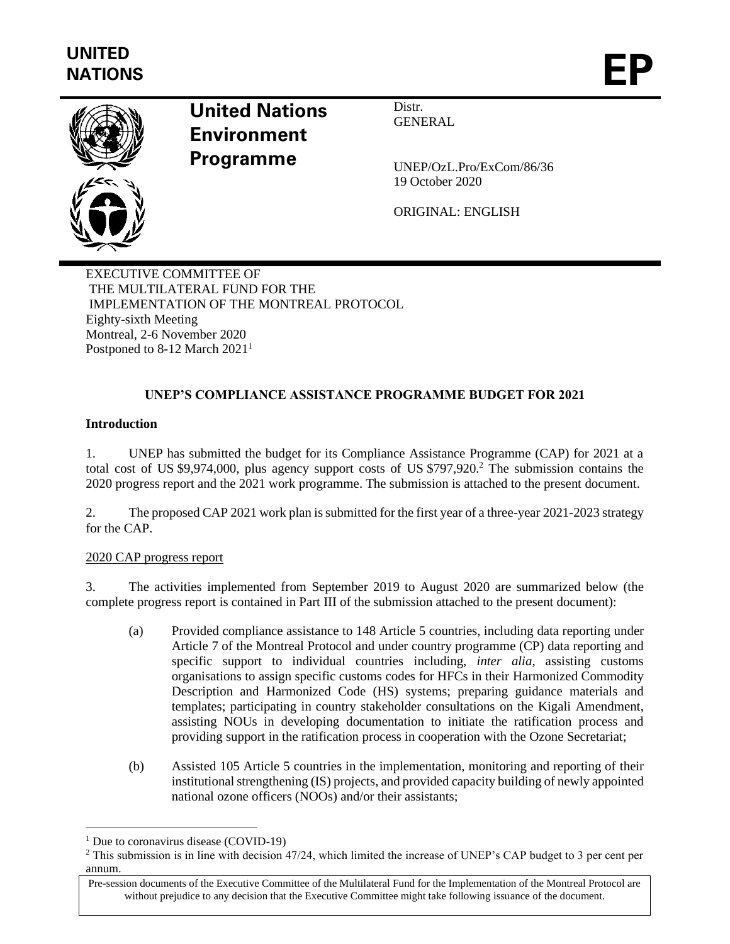

# **United Nations Environment Programme**

Distr. **GENERAL** 

UNEP/OzL.Pro/ExCom/86/36 19 October 2020

ORIGINAL: ENGLISH

EXECUTIVE COMMITTEE OF THE MULTILATERAL FUND FOR THE IMPLEMENTATION OF THE MONTREAL PROTOCOL Eighty-sixth Meeting Montreal, 2-6 November 2020 Postponed to 8-12 March 2021<sup>1</sup>

# **UNEP'S COMPLIANCE ASSISTANCE PROGRAMME BUDGET FOR 2021**

## **Introduction**

1. UNEP has submitted the budget for its Compliance Assistance Programme (CAP) for 2021 at a total cost of US \$9,974,000, plus agency support costs of US \$797,920.<sup>2</sup> The submission contains the 2020 progress report and the 2021 work programme. The submission is attached to the present document.

2. The proposed CAP 2021 work plan is submitted for the first year of a three-year 2021-2023 strategy for the CAP.

## 2020 CAP progress report

3. The activities implemented from September 2019 to August 2020 are summarized below (the complete progress report is contained in Part III of the submission attached to the present document):

- (a) Provided compliance assistance to 148 Article 5 countries, including data reporting under Article 7 of the Montreal Protocol and under country programme (CP) data reporting and specific support to individual countries including, *inter alia,* assisting customs organisations to assign specific customs codes for HFCs in their Harmonized Commodity Description and Harmonized Code (HS) systems; preparing guidance materials and templates; participating in country stakeholder consultations on the Kigali Amendment, assisting NOUs in developing documentation to initiate the ratification process and providing support in the ratification process in cooperation with the Ozone Secretariat;
- (b) Assisted 105 Article 5 countries in the implementation, monitoring and reporting of their institutional strengthening (IS) projects, and provided capacity building of newly appointed national ozone officers (NOOs) and/or their assistants;

<sup>&</sup>lt;sup>1</sup> Due to coronavirus disease (COVID-19)

<sup>&</sup>lt;sup>2</sup> This submission is in line with decision 47/24, which limited the increase of UNEP's CAP budget to 3 per cent per annum.

Pre-session documents of the Executive Committee of the Multilateral Fund for the Implementation of the Montreal Protocol are without prejudice to any decision that the Executive Committee might take following issuance of the document.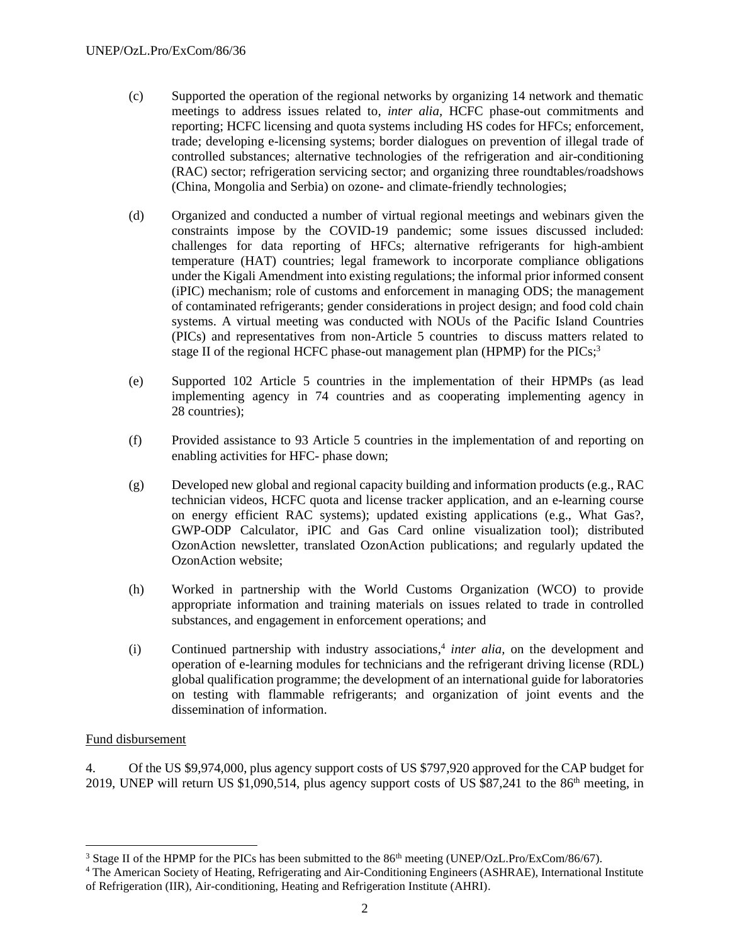- (c) Supported the operation of the regional networks by organizing 14 network and thematic meetings to address issues related to, *inter alia,* HCFC phase-out commitments and reporting; HCFC licensing and quota systems including HS codes for HFCs; enforcement, trade; developing e-licensing systems; border dialogues on prevention of illegal trade of controlled substances; alternative technologies of the refrigeration and air-conditioning (RAC) sector; refrigeration servicing sector; and organizing three roundtables/roadshows (China, Mongolia and Serbia) on ozone- and climate-friendly technologies;
- (d) Organized and conducted a number of virtual regional meetings and webinars given the constraints impose by the COVID-19 pandemic; some issues discussed included: challenges for data reporting of HFCs; alternative refrigerants for high-ambient temperature (HAT) countries; legal framework to incorporate compliance obligations under the Kigali Amendment into existing regulations; the informal prior informed consent (iPIC) mechanism; role of customs and enforcement in managing ODS; the management of contaminated refrigerants; gender considerations in project design; and food cold chain systems. A virtual meeting was conducted with NOUs of the Pacific Island Countries (PICs) and representatives from non-Article 5 countries to discuss matters related to stage II of the regional HCFC phase-out management plan (HPMP) for the PICs;<sup>3</sup>
- (e) Supported 102 Article 5 countries in the implementation of their HPMPs (as lead implementing agency in 74 countries and as cooperating implementing agency in 28 countries);
- (f) Provided assistance to 93 Article 5 countries in the implementation of and reporting on enabling activities for HFC- phase down;
- (g) Developed new global and regional capacity building and information products (e.g., RAC technician videos, HCFC quota and license tracker application, and an e-learning course on energy efficient RAC systems); updated existing applications (e.g., What Gas?, GWP-ODP Calculator, iPIC and Gas Card online visualization tool); distributed OzonAction newsletter, translated OzonAction publications; and regularly updated the OzonAction website;
- (h) Worked in partnership with the World Customs Organization (WCO) to provide appropriate information and training materials on issues related to trade in controlled substances, and engagement in enforcement operations; and
- (i) Continued partnership with industry associations, 4 *inter alia,* on the development and operation of e-learning modules for technicians and the refrigerant driving license (RDL) global qualification programme; the development of an international guide for laboratories on testing with flammable refrigerants; and organization of joint events and the dissemination of information.

#### Fund disbursement

4. Of the US \$9,974,000, plus agency support costs of US \$797,920 approved for the CAP budget for 2019, UNEP will return US \$1,090,514, plus agency support costs of US \$87,241 to the 86<sup>th</sup> meeting, in

<sup>&</sup>lt;sup>3</sup> Stage II of the HPMP for the PICs has been submitted to the 86<sup>th</sup> meeting (UNEP/OzL.Pro/ExCom/86/67).

<sup>4</sup> The American Society of Heating, Refrigerating and Air-Conditioning Engineers (ASHRAE), International Institute of Refrigeration (IIR), Air-conditioning, Heating and Refrigeration Institute (AHRI).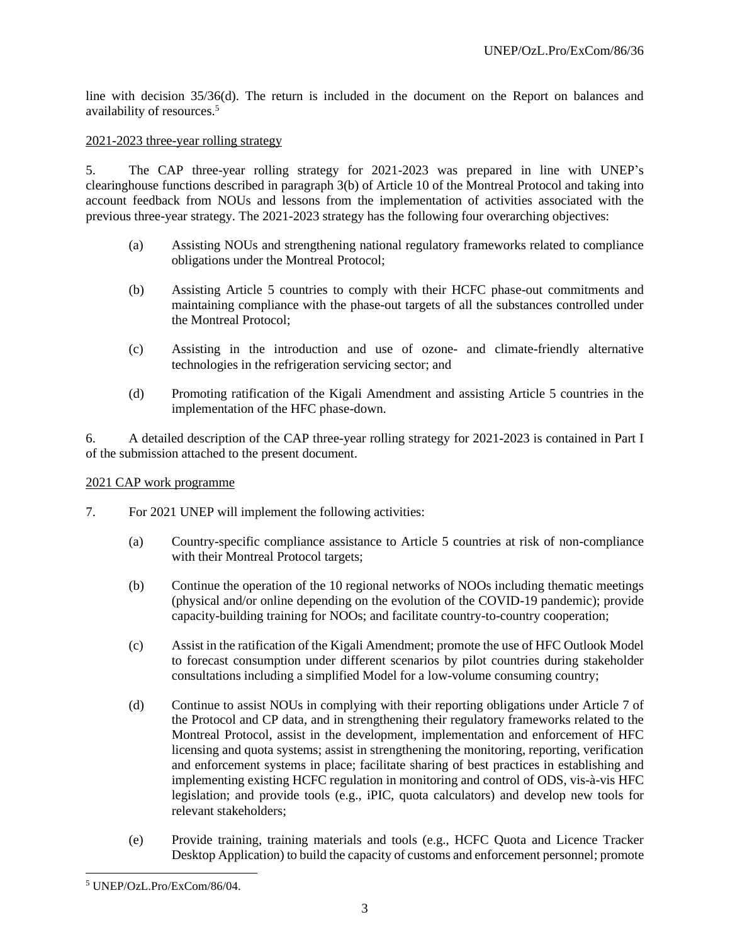line with decision 35/36(d). The return is included in the document on the Report on balances and availability of resources.<sup>5</sup>

#### 2021-2023 three-year rolling strategy

5. The CAP three-year rolling strategy for 2021-2023 was prepared in line with UNEP's clearinghouse functions described in paragraph 3(b) of Article 10 of the Montreal Protocol and taking into account feedback from NOUs and lessons from the implementation of activities associated with the previous three-year strategy. The 2021-2023 strategy has the following four overarching objectives:

- (a) Assisting NOUs and strengthening national regulatory frameworks related to compliance obligations under the Montreal Protocol;
- (b) Assisting Article 5 countries to comply with their HCFC phase-out commitments and maintaining compliance with the phase-out targets of all the substances controlled under the Montreal Protocol;
- (c) Assisting in the introduction and use of ozone- and climate-friendly alternative technologies in the refrigeration servicing sector; and
- (d) Promoting ratification of the Kigali Amendment and assisting Article 5 countries in the implementation of the HFC phase-down.

6. A detailed description of the CAP three-year rolling strategy for 2021-2023 is contained in Part I of the submission attached to the present document.

#### 2021 CAP work programme

- 7. For 2021 UNEP will implement the following activities:
	- (a) Country-specific compliance assistance to Article 5 countries at risk of non-compliance with their Montreal Protocol targets;
	- (b) Continue the operation of the 10 regional networks of NOOs including thematic meetings (physical and/or online depending on the evolution of the COVID-19 pandemic); provide capacity-building training for NOOs; and facilitate country-to-country cooperation;
	- (c) Assist in the ratification of the Kigali Amendment; promote the use of HFC Outlook Model to forecast consumption under different scenarios by pilot countries during stakeholder consultations including a simplified Model for a low-volume consuming country;
	- (d) Continue to assist NOUs in complying with their reporting obligations under Article 7 of the Protocol and CP data, and in strengthening their regulatory frameworks related to the Montreal Protocol, assist in the development, implementation and enforcement of HFC licensing and quota systems; assist in strengthening the monitoring, reporting, verification and enforcement systems in place; facilitate sharing of best practices in establishing and implementing existing HCFC regulation in monitoring and control of ODS, vis-à-vis HFC legislation; and provide tools (e.g., iPIC, quota calculators) and develop new tools for relevant stakeholders;
	- (e) Provide training, training materials and tools (e.g., HCFC Quota and Licence Tracker Desktop Application) to build the capacity of customs and enforcement personnel; promote

<sup>5</sup> UNEP/OzL.Pro/ExCom/86/04.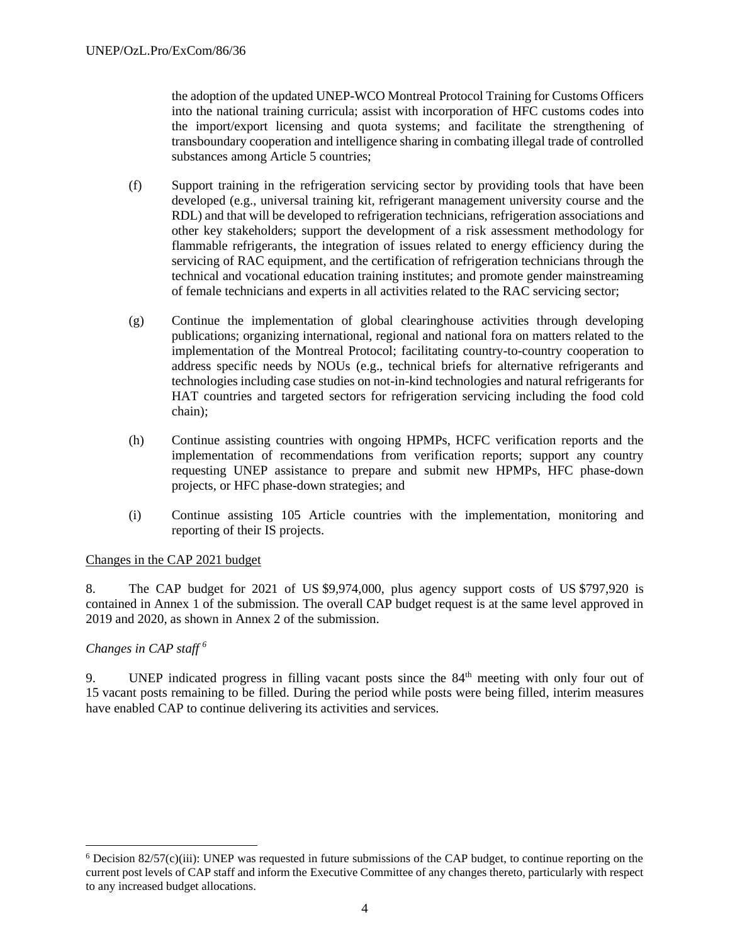the adoption of the updated UNEP-WCO Montreal Protocol Training for Customs Officers into the national training curricula; assist with incorporation of HFC customs codes into the import/export licensing and quota systems; and facilitate the strengthening of transboundary cooperation and intelligence sharing in combating illegal trade of controlled substances among Article 5 countries;

- (f) Support training in the refrigeration servicing sector by providing tools that have been developed (e.g., universal training kit, refrigerant management university course and the RDL) and that will be developed to refrigeration technicians, refrigeration associations and other key stakeholders; support the development of a risk assessment methodology for flammable refrigerants, the integration of issues related to energy efficiency during the servicing of RAC equipment, and the certification of refrigeration technicians through the technical and vocational education training institutes; and promote gender mainstreaming of female technicians and experts in all activities related to the RAC servicing sector;
- (g) Continue the implementation of global clearinghouse activities through developing publications; organizing international, regional and national fora on matters related to the implementation of the Montreal Protocol; facilitating country-to-country cooperation to address specific needs by NOUs (e.g., technical briefs for alternative refrigerants and technologies including case studies on not-in-kind technologies and natural refrigerants for HAT countries and targeted sectors for refrigeration servicing including the food cold chain);
- (h) Continue assisting countries with ongoing HPMPs, HCFC verification reports and the implementation of recommendations from verification reports; support any country requesting UNEP assistance to prepare and submit new HPMPs, HFC phase-down projects, or HFC phase-down strategies; and
- (i) Continue assisting 105 Article countries with the implementation, monitoring and reporting of their IS projects.

## Changes in the CAP 2021 budget

8. The CAP budget for 2021 of US \$9,974,000, plus agency support costs of US \$797,920 is contained in Annex 1 of the submission. The overall CAP budget request is at the same level approved in 2019 and 2020, as shown in Annex 2 of the submission.

#### *Changes in CAP staff <sup>6</sup>*

9. UNEP indicated progress in filling vacant posts since the 84<sup>th</sup> meeting with only four out of 15 vacant posts remaining to be filled. During the period while posts were being filled, interim measures have enabled CAP to continue delivering its activities and services.

 $6$  Decision 82/57(c)(iii): UNEP was requested in future submissions of the CAP budget, to continue reporting on the current post levels of CAP staff and inform the Executive Committee of any changes thereto, particularly with respect to any increased budget allocations.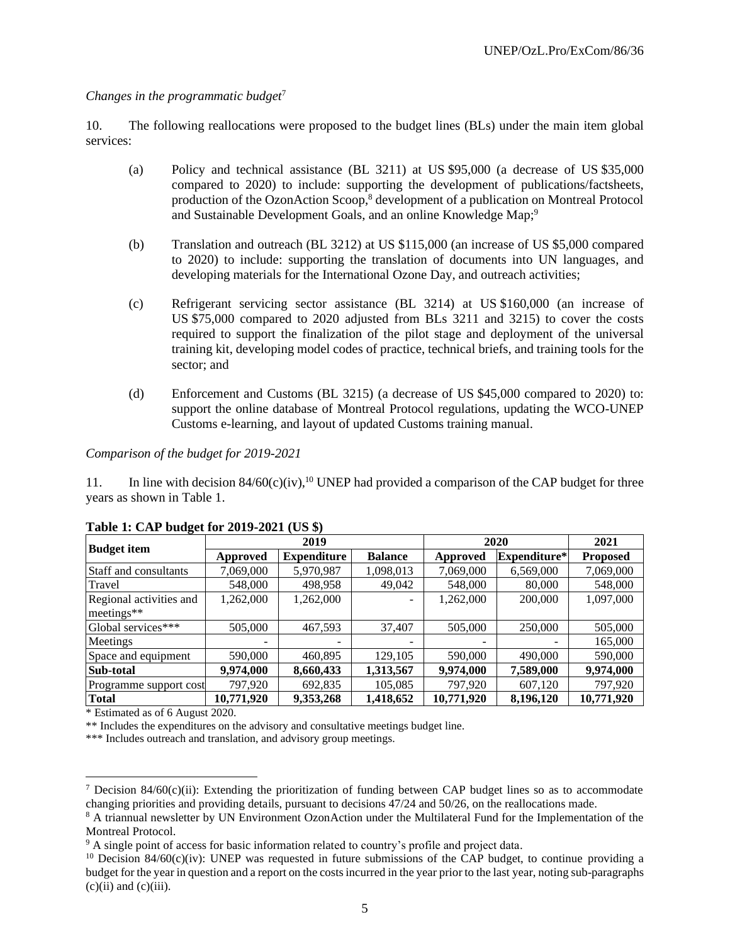## *Changes in the programmatic budget*<sup>7</sup>

10. The following reallocations were proposed to the budget lines (BLs) under the main item global services:

- (a) Policy and technical assistance (BL 3211) at US \$95,000 (a decrease of US \$35,000 compared to 2020) to include: supporting the development of publications/factsheets, production of the OzonAction Scoop, <sup>8</sup> development of a publication on Montreal Protocol and Sustainable Development Goals, and an online Knowledge Map;<sup>9</sup>
- (b) Translation and outreach (BL 3212) at US \$115,000 (an increase of US \$5,000 compared to 2020) to include: supporting the translation of documents into UN languages, and developing materials for the International Ozone Day, and outreach activities;
- (c) Refrigerant servicing sector assistance (BL 3214) at US \$160,000 (an increase of US \$75,000 compared to 2020 adjusted from BLs 3211 and 3215) to cover the costs required to support the finalization of the pilot stage and deployment of the universal training kit, developing model codes of practice, technical briefs, and training tools for the sector; and
- (d) Enforcement and Customs (BL 3215) (a decrease of US \$45,000 compared to 2020) to: support the online database of Montreal Protocol regulations, updating the WCO-UNEP Customs e-learning, and layout of updated Customs training manual.

#### *Comparison of the budget for 2019-2021*

11. In line with decision  $84/60(c)(iv)$ ,<sup>10</sup> UNEP had provided a comparison of the CAP budget for three years as shown in Table 1.

| <b>Budget item</b>                      | 2019            |                    |                | 2020       |              | 2021            |
|-----------------------------------------|-----------------|--------------------|----------------|------------|--------------|-----------------|
|                                         | <b>Approved</b> | <b>Expenditure</b> | <b>Balance</b> | Approved   | Expenditure* | <b>Proposed</b> |
| Staff and consultants                   | 7,069,000       | 5,970,987          | 1,098,013      | 7,069,000  | 6,569,000    | 7,069,000       |
| Travel                                  | 548,000         | 498,958            | 49,042         | 548,000    | 80,000       | 548,000         |
| Regional activities and<br>$meetings**$ | 1,262,000       | 1,262,000          |                | 1,262,000  | 200,000      | 1,097,000       |
| Global services***                      | 505,000         | 467,593            | 37,407         | 505,000    | 250,000      | 505,000         |
| Meetings                                |                 |                    | -              |            |              | 165,000         |
| Space and equipment                     | 590,000         | 460,895            | 129,105        | 590,000    | 490,000      | 590,000         |
| Sub-total                               | 9,974,000       | 8,660,433          | 1,313,567      | 9,974,000  | 7,589,000    | 9,974,000       |
| Programme support cost                  | 797,920         | 692,835            | 105,085        | 797,920    | 607,120      | 797,920         |
| <b>Total</b>                            | 10,771,920      | 9,353,268          | 1,418,652      | 10,771,920 | 8,196,120    | 10,771,920      |

#### **Table 1: CAP budget for 2019-2021 (US \$)**

\* Estimated as of 6 August 2020.

\*\* Includes the expenditures on the advisory and consultative meetings budget line.

\*\*\* Includes outreach and translation, and advisory group meetings.

<sup>&</sup>lt;sup>7</sup> Decision 84/60(c)(ii): Extending the prioritization of funding between CAP budget lines so as to accommodate changing priorities and providing details, pursuant to decisions 47/24 and 50/26, on the reallocations made.

<sup>&</sup>lt;sup>8</sup> A triannual newsletter by UN Environment OzonAction under the Multilateral Fund for the Implementation of the Montreal Protocol.

<sup>&</sup>lt;sup>9</sup> A single point of access for basic information related to country's profile and project data.

 $10$  Decision 84/60(c)(iv): UNEP was requested in future submissions of the CAP budget, to continue providing a budget for the year in question and a report on the costs incurred in the year prior to the last year, noting sub-paragraphs  $(c)(ii)$  and  $(c)(iii)$ .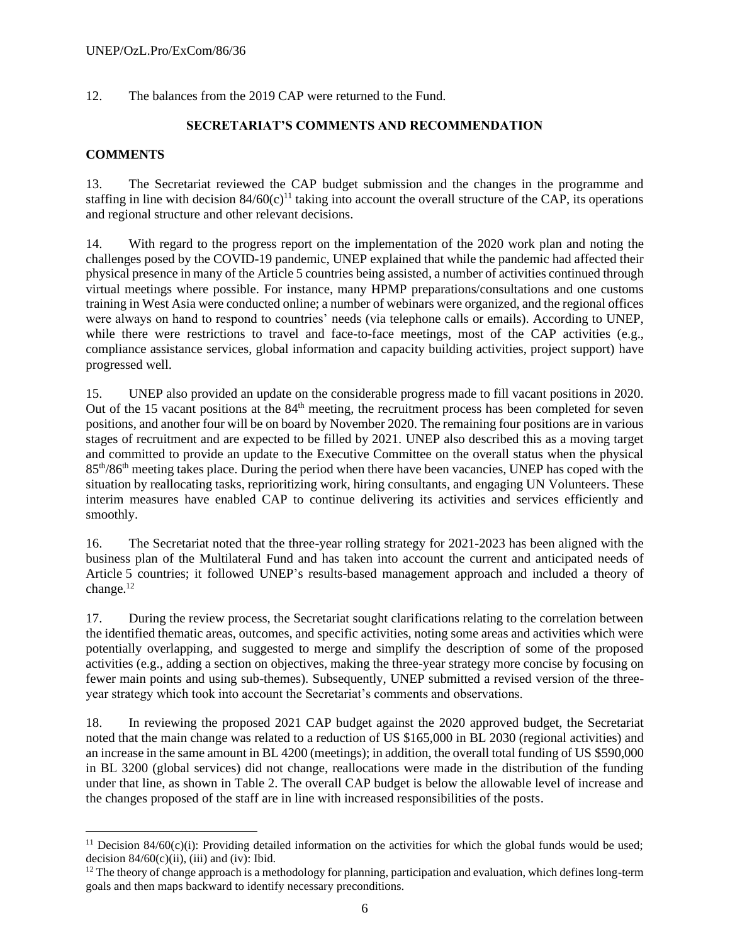12. The balances from the 2019 CAP were returned to the Fund.

## **SECRETARIAT'S COMMENTS AND RECOMMENDATION**

## **COMMENTS**

13. The Secretariat reviewed the CAP budget submission and the changes in the programme and staffing in line with decision  $84/60(c)^{11}$  taking into account the overall structure of the CAP, its operations and regional structure and other relevant decisions.

14. With regard to the progress report on the implementation of the 2020 work plan and noting the challenges posed by the COVID-19 pandemic, UNEP explained that while the pandemic had affected their physical presence in many of the Article 5 countries being assisted, a number of activities continued through virtual meetings where possible. For instance, many HPMP preparations/consultations and one customs training in West Asia were conducted online; a number of webinars were organized, and the regional offices were always on hand to respond to countries' needs (via telephone calls or emails). According to UNEP, while there were restrictions to travel and face-to-face meetings, most of the CAP activities (e.g., compliance assistance services, global information and capacity building activities, project support) have progressed well.

15. UNEP also provided an update on the considerable progress made to fill vacant positions in 2020. Out of the 15 vacant positions at the 84<sup>th</sup> meeting, the recruitment process has been completed for seven positions, and another four will be on board by November 2020. The remaining four positions are in various stages of recruitment and are expected to be filled by 2021. UNEP also described this as a moving target and committed to provide an update to the Executive Committee on the overall status when the physical 85th/86th meeting takes place. During the period when there have been vacancies, UNEP has coped with the situation by reallocating tasks, reprioritizing work, hiring consultants, and engaging UN Volunteers. These interim measures have enabled CAP to continue delivering its activities and services efficiently and smoothly.

16. The Secretariat noted that the three-year rolling strategy for 2021-2023 has been aligned with the business plan of the Multilateral Fund and has taken into account the current and anticipated needs of Article 5 countries; it followed UNEP's results-based management approach and included a theory of change.<sup>12</sup>

17. During the review process, the Secretariat sought clarifications relating to the correlation between the identified thematic areas, outcomes, and specific activities, noting some areas and activities which were potentially overlapping, and suggested to merge and simplify the description of some of the proposed activities (e.g., adding a section on objectives, making the three-year strategy more concise by focusing on fewer main points and using sub-themes). Subsequently, UNEP submitted a revised version of the threeyear strategy which took into account the Secretariat's comments and observations.

18. In reviewing the proposed 2021 CAP budget against the 2020 approved budget, the Secretariat noted that the main change was related to a reduction of US \$165,000 in BL 2030 (regional activities) and an increase in the same amount in BL 4200 (meetings); in addition, the overall total funding of US \$590,000 in BL 3200 (global services) did not change, reallocations were made in the distribution of the funding under that line, as shown in Table 2. The overall CAP budget is below the allowable level of increase and the changes proposed of the staff are in line with increased responsibilities of the posts.

<sup>&</sup>lt;sup>11</sup> Decision 84/60(c)(i): Providing detailed information on the activities for which the global funds would be used; decision  $84/60(c)(ii)$ , (iii) and (iv): Ibid.

 $12$  The theory of change approach is a methodology for planning, participation and evaluation, which defines long-term goals and then maps backward to identify necessary preconditions.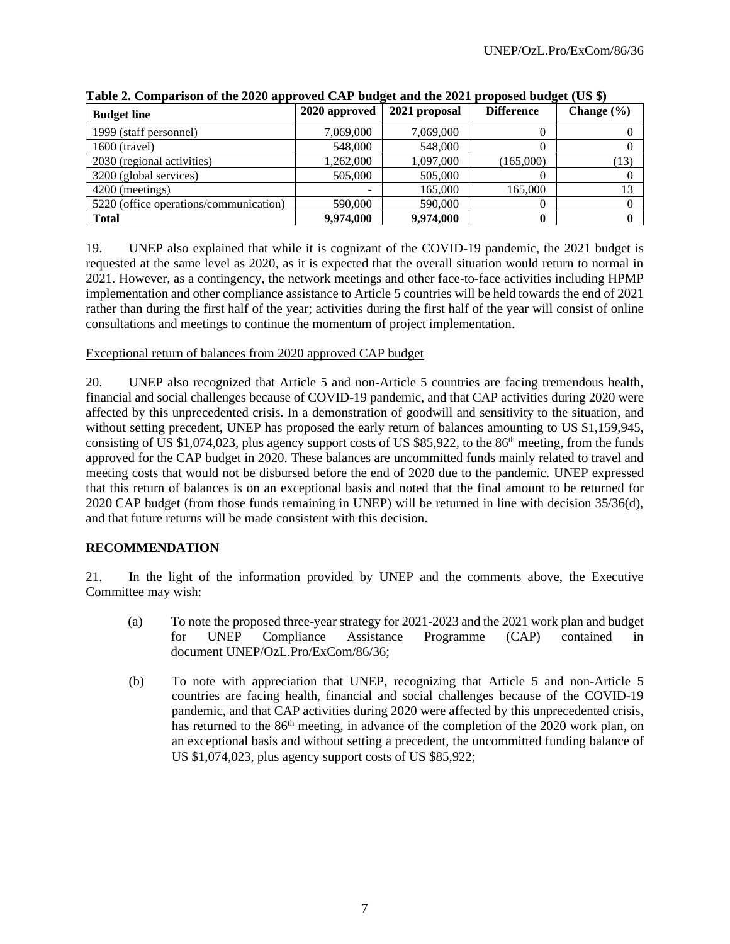| <b>Budget line</b>                     | 2020 approved | 2021 proposal | <b>Difference</b> | Change $(\% )$ |
|----------------------------------------|---------------|---------------|-------------------|----------------|
| 1999 (staff personnel)                 | 7.069.000     | 7,069,000     |                   |                |
| 1600 (travel)                          | 548,000       | 548,000       |                   |                |
| 2030 (regional activities)             | 1,262,000     | 1,097,000     | (165,000)         | (13)           |
| 3200 (global services)                 | 505,000       | 505,000       |                   |                |
| 4200 (meetings)                        |               | 165,000       | 165.000           | 13             |
| 5220 (office operations/communication) | 590,000       | 590,000       |                   |                |
| <b>Total</b>                           | 9,974,000     | 9,974,000     |                   |                |

**Table 2. Comparison of the 2020 approved CAP budget and the 2021 proposed budget (US \$)**

19. UNEP also explained that while it is cognizant of the COVID-19 pandemic, the 2021 budget is requested at the same level as 2020, as it is expected that the overall situation would return to normal in 2021. However, as a contingency, the network meetings and other face-to-face activities including HPMP implementation and other compliance assistance to Article 5 countries will be held towards the end of 2021 rather than during the first half of the year; activities during the first half of the year will consist of online consultations and meetings to continue the momentum of project implementation.

Exceptional return of balances from 2020 approved CAP budget

20. UNEP also recognized that Article 5 and non-Article 5 countries are facing tremendous health, financial and social challenges because of COVID-19 pandemic, and that CAP activities during 2020 were affected by this unprecedented crisis. In a demonstration of goodwill and sensitivity to the situation, and without setting precedent, UNEP has proposed the early return of balances amounting to US \$1,159,945, consisting of US \$1,074,023, plus agency support costs of US \$85,922, to the  $86<sup>th</sup>$  meeting, from the funds approved for the CAP budget in 2020. These balances are uncommitted funds mainly related to travel and meeting costs that would not be disbursed before the end of 2020 due to the pandemic. UNEP expressed that this return of balances is on an exceptional basis and noted that the final amount to be returned for 2020 CAP budget (from those funds remaining in UNEP) will be returned in line with decision 35/36(d), and that future returns will be made consistent with this decision.

## **RECOMMENDATION**

21. In the light of the information provided by UNEP and the comments above, the Executive Committee may wish:

- (a) To note the proposed three-year strategy for 2021-2023 and the 2021 work plan and budget for UNEP Compliance Assistance Programme (CAP) contained in document UNEP/OzL.Pro/ExCom/86/36;
- (b) To note with appreciation that UNEP, recognizing that Article 5 and non-Article 5 countries are facing health, financial and social challenges because of the COVID-19 pandemic, and that CAP activities during 2020 were affected by this unprecedented crisis, has returned to the 86<sup>th</sup> meeting, in advance of the completion of the 2020 work plan, on an exceptional basis and without setting a precedent, the uncommitted funding balance of US \$1,074,023, plus agency support costs of US \$85,922;